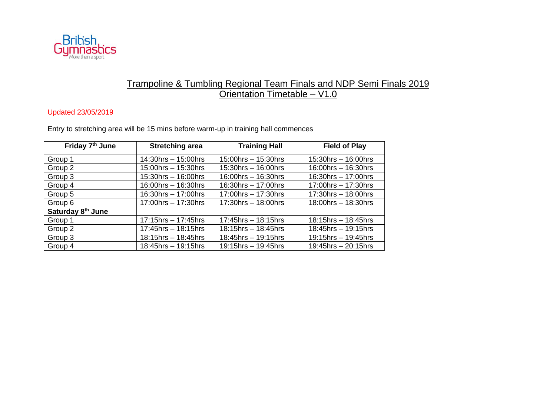

## Trampoline & Tumbling Regional Team Finals and NDP Semi Finals 2019 Orientation Timetable – V1.0

## Updated 23/05/2019

Entry to stretching area will be 15 mins before warm-up in training hall commences

| Friday 7 <sup>th</sup> June | <b>Stretching area</b>    | <b>Training Hall</b>      | <b>Field of Play</b>      |
|-----------------------------|---------------------------|---------------------------|---------------------------|
| Group 1                     | $14:30$ hrs $- 15:00$ hrs | $15:00$ hrs $- 15:30$ hrs | $15:30$ hrs $- 16:00$ hrs |
| Group 2                     | $15:00$ hrs $- 15:30$ hrs | $15:30$ hrs $- 16:00$ hrs | $16:00$ hrs $- 16:30$ hrs |
| Group 3                     | $15:30$ hrs $- 16:00$ hrs | $16:00$ hrs $- 16:30$ hrs | $16:30$ hrs $- 17:00$ hrs |
| Group 4                     | $16:00$ hrs $- 16:30$ hrs | 16:30hrs - 17:00hrs       | 17:00hrs - 17:30hrs       |
| Group 5                     | $16:30$ hrs $- 17:00$ hrs | 17:00hrs - 17:30hrs       | $17:30$ hrs - 18:00hrs    |
| Group 6                     | 17:00hrs - 17:30hrs       | 17:30hrs - 18:00hrs       | $18:00$ hrs $- 18:30$ hrs |
| Saturday 8th June           |                           |                           |                           |
| Group 1                     | $17:15$ hrs $-17:45$ hrs  | $17:45$ hrs $-18:15$ hrs  | $18:15$ hrs - 18:45hrs    |
| Group 2                     | $17:45$ hrs $-18:15$ hrs  | $18:15$ hrs - 18:45hrs    | 18:45hrs - 19:15hrs       |
| Group 3                     | $18:15$ hrs - 18:45hrs    | $18:45$ hrs $-19:15$ hrs  | 19:15hrs - 19:45hrs       |
| Group 4                     | $18:45$ hrs $-19:15$ hrs  | $19:15$ hrs - 19:45hrs    | $19:45$ hrs $-20:15$ hrs  |